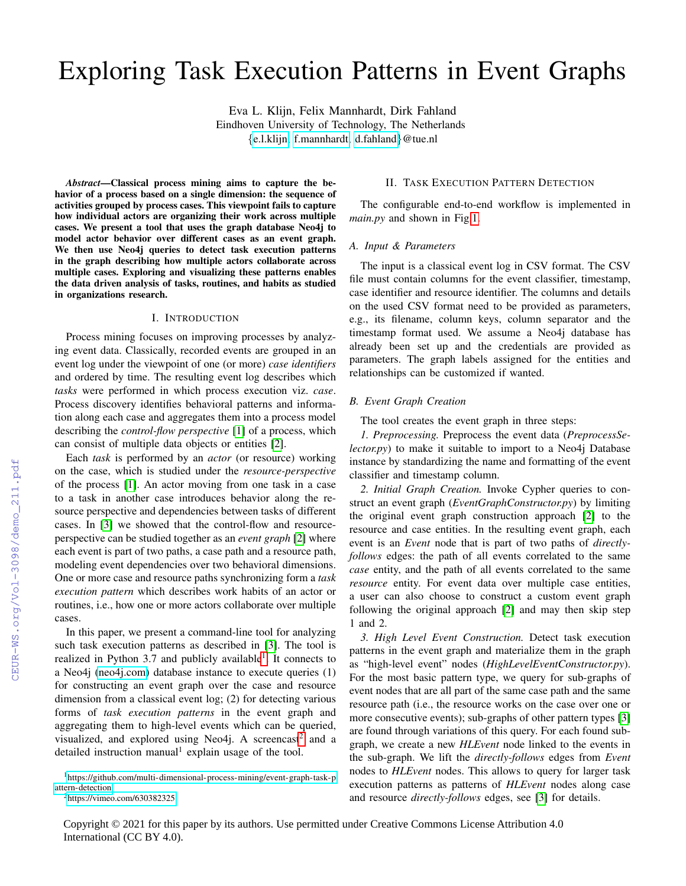# Exploring Task Execution Patterns in Event Graphs

Eva L. Klijn, Felix Mannhardt, Dirk Fahland Eindhoven University of Technology, The Netherlands {[e.l.klijn,](mailto:e.l.klijn@tue.nl) [f.mannhardt,](mailto:f.mannhardt@tue.nl) [d.fahland](mailto:d.fahland@tue.nl)}@tue.nl

*Abstract*—Classical process mining aims to capture the behavior of a process based on a single dimension: the sequence of activities grouped by process cases. This viewpoint fails to capture how individual actors are organizing their work across multiple cases. We present a tool that uses the graph database Neo4j to model actor behavior over different cases as an event graph. We then use Neo4j queries to detect task execution patterns in the graph describing how multiple actors collaborate across multiple cases. Exploring and visualizing these patterns enables the data driven analysis of tasks, routines, and habits as studied in organizations research.

## I. INTRODUCTION

Process mining focuses on improving processes by analyzing event data. Classically, recorded events are grouped in an event log under the viewpoint of one (or more) *case identifiers* and ordered by time. The resulting event log describes which *tasks* were performed in which process execution viz. *case*. Process discovery identifies behavioral patterns and information along each case and aggregates them into a process model describing the *control-flow perspective* [\[1\]](#page--1-0) of a process, which can consist of multiple data objects or entities [\[2\]](#page--1-1).

Each *task* is performed by an *actor* (or resource) working on the case, which is studied under the *resource-perspective* of the process [\[1\]](#page--1-0). An actor moving from one task in a case to a task in another case introduces behavior along the resource perspective and dependencies between tasks of different cases. In [\[3\]](#page--1-2) we showed that the control-flow and resourceperspective can be studied together as an *event graph* [\[2\]](#page--1-1) where each event is part of two paths, a case path and a resource path, modeling event dependencies over two behavioral dimensions. One or more case and resource paths synchronizing form a *task execution pattern* which describes work habits of an actor or routines, i.e., how one or more actors collaborate over multiple cases.

In this paper, we present a command-line tool for analyzing such task execution patterns as described in [\[3\]](#page--1-2). The tool is realized in Python 3.7 and publicly available<sup>[1](#page-0-0)</sup>. It connects to a Neo4j [\(neo4j.com\)](neo4j.com) database instance to execute queries (1) for constructing an event graph over the case and resource dimension from a classical event log; (2) for detecting various forms of *task execution patterns* in the event graph and aggregating them to high-level events which can be queried, visualized, and explored using Neo4j. A screencast<sup>[2](#page-0-1)</sup> and a detailed instruction manual<sup>1</sup> explain usage of the tool.

<span id="page-0-1"></span><sup>2</sup><https://vimeo.com/630382325>

# II. TASK EXECUTION PATTERN DETECTION

The configurable end-to-end workflow is implemented in *main.py* and shown in Fig[.1.](#page--1-3)

# *A. Input & Parameters*

The input is a classical event log in CSV format. The CSV file must contain columns for the event classifier, timestamp, case identifier and resource identifier. The columns and details on the used CSV format need to be provided as parameters, e.g., its filename, column keys, column separator and the timestamp format used. We assume a Neo4j database has already been set up and the credentials are provided as parameters. The graph labels assigned for the entities and relationships can be customized if wanted.

#### *B. Event Graph Creation*

The tool creates the event graph in three steps:

*1. Preprocessing.* Preprocess the event data (*PreprocessSelector.py*) to make it suitable to import to a Neo4*j* Database instance by standardizing the name and formatting of the event classifier and timestamp column.

*2. Initial Graph Creation.* Invoke Cypher queries to construct an event graph (*EventGraphConstructor.py*) by limiting the original event graph construction approach [\[2\]](#page--1-1) to the resource and case entities. In the resulting event graph, each event is an *Event* node that is part of two paths of *directlyfollows* edges: the path of all events correlated to the same *case* entity, and the path of all events correlated to the same *resource* entity. For event data over multiple case entities, a user can also choose to construct a custom event graph following the original approach [\[2\]](#page--1-1) and may then skip step 1 and 2.

*3. High Level Event Construction.* Detect task execution patterns in the event graph and materialize them in the graph as "high-level event" nodes (*HighLevelEventConstructor.py*). For the most basic pattern type, we query for sub-graphs of event nodes that are all part of the same case path and the same resource path (i.e., the resource works on the case over one or more consecutive events); sub-graphs of other pattern types [\[3\]](#page--1-2) are found through variations of this query. For each found subgraph, we create a new *HLEvent* node linked to the events in the sub-graph. We lift the *directly-follows* edges from *Event* nodes to *HLEvent* nodes. This allows to query for larger task execution patterns as patterns of *HLEvent* nodes along case and resource *directly-follows* edges, see [\[3\]](#page--1-2) for details.

<span id="page-0-0"></span><sup>&</sup>lt;sup>1</sup>[https://github.com/multi-dimensional-process-mining/event-graph-task-p](https://github.com/multi-dimensional-process-mining/event-graph-task-pattern-detection) [attern-detection](https://github.com/multi-dimensional-process-mining/event-graph-task-pattern-detection)